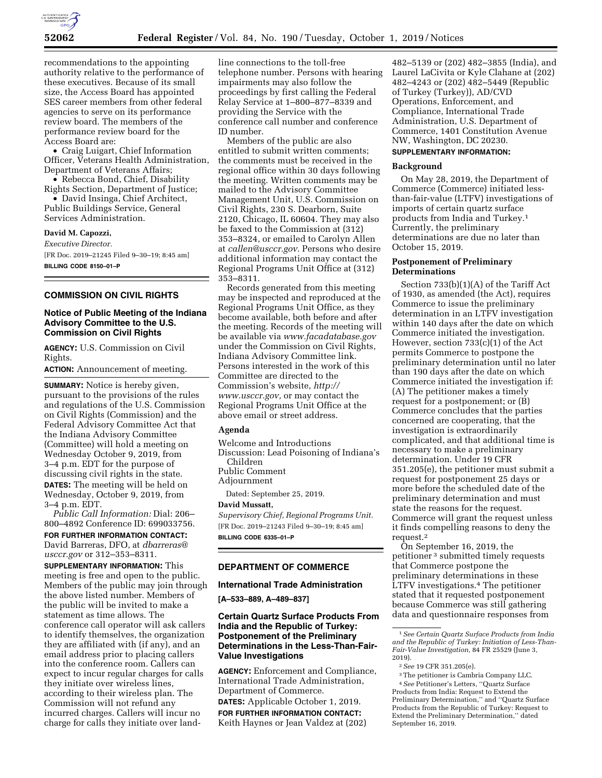

recommendations to the appointing authority relative to the performance of these executives. Because of its small size, the Access Board has appointed SES career members from other federal agencies to serve on its performance review board. The members of the performance review board for the Access Board are:

• Craig Luigart, Chief Information Officer, Veterans Health Administration, Department of Veterans Affairs;

• Rebecca Bond, Chief, Disability Rights Section, Department of Justice;

• David Insinga, Chief Architect, Public Buildings Service, General Services Administration.

### **David M. Capozzi,**

*Executive Director.*  [FR Doc. 2019–21245 Filed 9–30–19; 8:45 am] **BILLING CODE 8150–01–P** 

## **COMMISSION ON CIVIL RIGHTS**

# **Notice of Public Meeting of the Indiana Advisory Committee to the U.S. Commission on Civil Rights**

**AGENCY:** U.S. Commission on Civil Rights.

**ACTION:** Announcement of meeting.

**SUMMARY:** Notice is hereby given, pursuant to the provisions of the rules and regulations of the U.S. Commission on Civil Rights (Commission) and the Federal Advisory Committee Act that the Indiana Advisory Committee (Committee) will hold a meeting on Wednesday October 9, 2019, from 3–4 p.m. EDT for the purpose of discussing civil rights in the state. **DATES:** The meeting will be held on Wednesday, October 9, 2019, from 3–4 p.m. EDT.

*Public Call Information:* Dial: 206– 800–4892 Conference ID: 699033756. **FOR FURTHER INFORMATION CONTACT:** 

David Barreras, DFO, at *dbarreras@ usccr.gov* or 312–353–8311.

**SUPPLEMENTARY INFORMATION:** This meeting is free and open to the public. Members of the public may join through the above listed number. Members of the public will be invited to make a statement as time allows. The conference call operator will ask callers to identify themselves, the organization they are affiliated with (if any), and an email address prior to placing callers into the conference room. Callers can expect to incur regular charges for calls they initiate over wireless lines, according to their wireless plan. The Commission will not refund any incurred charges. Callers will incur no charge for calls they initiate over landline connections to the toll-free telephone number. Persons with hearing impairments may also follow the proceedings by first calling the Federal Relay Service at 1–800–877–8339 and providing the Service with the conference call number and conference ID number.

Members of the public are also entitled to submit written comments; the comments must be received in the regional office within 30 days following the meeting. Written comments may be mailed to the Advisory Committee Management Unit, U.S. Commission on Civil Rights, 230 S. Dearborn, Suite 2120, Chicago, IL 60604. They may also be faxed to the Commission at (312) 353–8324, or emailed to Carolyn Allen at *callen@usccr.gov.* Persons who desire additional information may contact the Regional Programs Unit Office at (312) 353–8311.

Records generated from this meeting may be inspected and reproduced at the Regional Programs Unit Office, as they become available, both before and after the meeting. Records of the meeting will be available via *www.facadatabase.gov*  under the Commission on Civil Rights, Indiana Advisory Committee link. Persons interested in the work of this Committee are directed to the Commission's website, *http:// www.usccr.gov,* or may contact the Regional Programs Unit Office at the above email or street address.

# **Agenda**

Welcome and Introductions

Discussion: Lead Poisoning of Indiana's Children Public Comment

# Adjournment

Dated: September 25, 2019.

#### **David Mussatt,**

*Supervisory Chief, Regional Programs Unit.*  [FR Doc. 2019–21243 Filed 9–30–19; 8:45 am] **BILLING CODE 6335–01–P** 

# **DEPARTMENT OF COMMERCE**

### **International Trade Administration**

**[A–533–889, A–489–837]** 

# **Certain Quartz Surface Products From India and the Republic of Turkey: Postponement of the Preliminary Determinations in the Less-Than-Fair-Value Investigations**

**AGENCY:** Enforcement and Compliance, International Trade Administration, Department of Commerce.

**DATES:** Applicable October 1, 2019. **FOR FURTHER INFORMATION CONTACT:**  Keith Haynes or Jean Valdez at (202)

482–5139 or (202) 482–3855 (India), and Laurel LaCivita or Kyle Clahane at (202) 482–4243 or (202) 482–5449 (Republic of Turkey (Turkey)), AD/CVD Operations, Enforcement, and Compliance, International Trade Administration, U.S. Department of Commerce, 1401 Constitution Avenue NW, Washington, DC 20230.

# **SUPPLEMENTARY INFORMATION:**

## **Background**

On May 28, 2019, the Department of Commerce (Commerce) initiated lessthan-fair-value (LTFV) investigations of imports of certain quartz surface products from India and Turkey.1 Currently, the preliminary determinations are due no later than October 15, 2019.

## **Postponement of Preliminary Determinations**

Section 733(b)(1)(A) of the Tariff Act of 1930, as amended (the Act), requires Commerce to issue the preliminary determination in an LTFV investigation within 140 days after the date on which Commerce initiated the investigation. However, section 733(c)(1) of the Act permits Commerce to postpone the preliminary determination until no later than 190 days after the date on which Commerce initiated the investigation if: (A) The petitioner makes a timely request for a postponement; or (B) Commerce concludes that the parties concerned are cooperating, that the investigation is extraordinarily complicated, and that additional time is necessary to make a preliminary determination. Under 19 CFR 351.205(e), the petitioner must submit a request for postponement 25 days or more before the scheduled date of the preliminary determination and must state the reasons for the request. Commerce will grant the request unless it finds compelling reasons to deny the request.2

On September 16, 2019, the petitioner 3 submitted timely requests that Commerce postpone the preliminary determinations in these LTFV investigations.4 The petitioner stated that it requested postponement because Commerce was still gathering data and questionnaire responses from

<sup>1</sup>*See Certain Quartz Surface Products from India and the Republic of Turkey: Initiation of Less-Than-Fair-Value Investigation,* 84 FR 25529 (June 3, 2019).

<sup>2</sup>*See* 19 CFR 351.205(e).

<sup>3</sup>The petitioner is Cambria Company LLC. 4*See* Petitioner's Letters, ''Quartz Surface Products from India: Request to Extend the Preliminary Determination,'' and ''Quartz Surface Products from the Republic of Turkey: Request to Extend the Preliminary Determination,'' dated September 16, 2019.